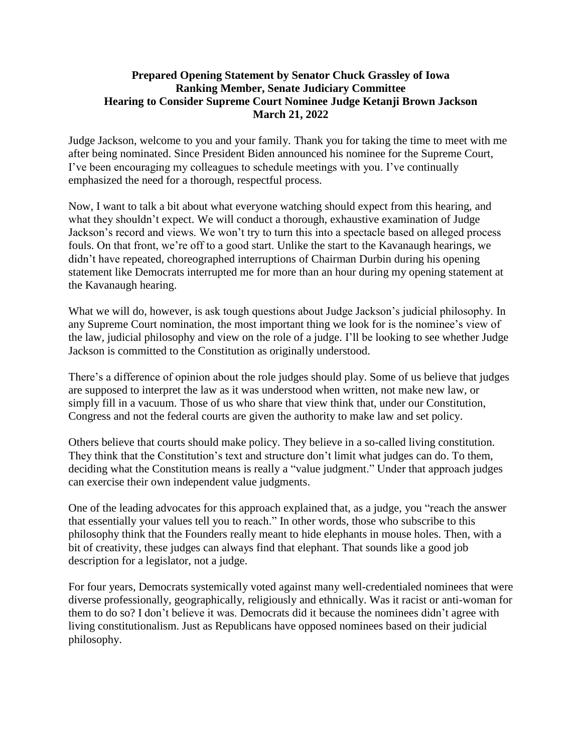## **Prepared Opening Statement by Senator Chuck Grassley of Iowa Ranking Member, Senate Judiciary Committee Hearing to Consider Supreme Court Nominee Judge Ketanji Brown Jackson March 21, 2022**

Judge Jackson, welcome to you and your family. Thank you for taking the time to meet with me after being nominated. Since President Biden announced his nominee for the Supreme Court, I've been encouraging my colleagues to schedule meetings with you. I've continually emphasized the need for a thorough, respectful process.

Now, I want to talk a bit about what everyone watching should expect from this hearing, and what they shouldn't expect. We will conduct a thorough, exhaustive examination of Judge Jackson's record and views. We won't try to turn this into a spectacle based on alleged process fouls. On that front, we're off to a good start. Unlike the start to the Kavanaugh hearings, we didn't have repeated, choreographed interruptions of Chairman Durbin during his opening statement like Democrats interrupted me for more than an hour during my opening statement at the Kavanaugh hearing.

What we will do, however, is ask tough questions about Judge Jackson's judicial philosophy. In any Supreme Court nomination, the most important thing we look for is the nominee's view of the law, judicial philosophy and view on the role of a judge. I'll be looking to see whether Judge Jackson is committed to the Constitution as originally understood.

There's a difference of opinion about the role judges should play. Some of us believe that judges are supposed to interpret the law as it was understood when written, not make new law, or simply fill in a vacuum. Those of us who share that view think that, under our Constitution, Congress and not the federal courts are given the authority to make law and set policy.

Others believe that courts should make policy. They believe in a so-called living constitution. They think that the Constitution's text and structure don't limit what judges can do. To them, deciding what the Constitution means is really a "value judgment." Under that approach judges can exercise their own independent value judgments.

One of the leading advocates for this approach explained that, as a judge, you "reach the answer that essentially your values tell you to reach." In other words, those who subscribe to this philosophy think that the Founders really meant to hide elephants in mouse holes. Then, with a bit of creativity, these judges can always find that elephant. That sounds like a good job description for a legislator, not a judge.

For four years, Democrats systemically voted against many well-credentialed nominees that were diverse professionally, geographically, religiously and ethnically. Was it racist or anti-woman for them to do so? I don't believe it was. Democrats did it because the nominees didn't agree with living constitutionalism. Just as Republicans have opposed nominees based on their judicial philosophy.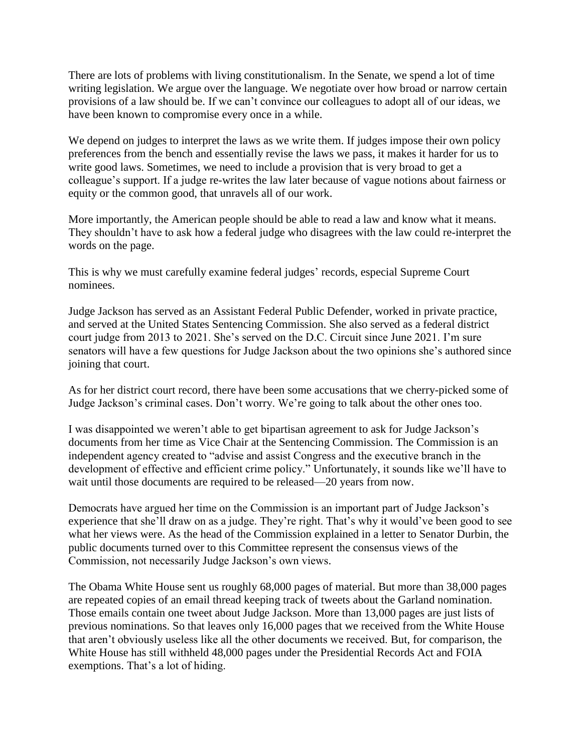There are lots of problems with living constitutionalism. In the Senate, we spend a lot of time writing legislation. We argue over the language. We negotiate over how broad or narrow certain provisions of a law should be. If we can't convince our colleagues to adopt all of our ideas, we have been known to compromise every once in a while.

We depend on judges to interpret the laws as we write them. If judges impose their own policy preferences from the bench and essentially revise the laws we pass, it makes it harder for us to write good laws. Sometimes, we need to include a provision that is very broad to get a colleague's support. If a judge re-writes the law later because of vague notions about fairness or equity or the common good, that unravels all of our work.

More importantly, the American people should be able to read a law and know what it means. They shouldn't have to ask how a federal judge who disagrees with the law could re-interpret the words on the page.

This is why we must carefully examine federal judges' records, especial Supreme Court nominees.

Judge Jackson has served as an Assistant Federal Public Defender, worked in private practice, and served at the United States Sentencing Commission. She also served as a federal district court judge from 2013 to 2021. She's served on the D.C. Circuit since June 2021. I'm sure senators will have a few questions for Judge Jackson about the two opinions she's authored since joining that court.

As for her district court record, there have been some accusations that we cherry-picked some of Judge Jackson's criminal cases. Don't worry. We're going to talk about the other ones too.

I was disappointed we weren't able to get bipartisan agreement to ask for Judge Jackson's documents from her time as Vice Chair at the Sentencing Commission. The Commission is an independent agency created to "advise and assist Congress and the executive branch in the development of effective and efficient crime policy." Unfortunately, it sounds like we'll have to wait until those documents are required to be released—20 years from now.

Democrats have argued her time on the Commission is an important part of Judge Jackson's experience that she'll draw on as a judge. They're right. That's why it would've been good to see what her views were. As the head of the Commission explained in a letter to Senator Durbin, the public documents turned over to this Committee represent the consensus views of the Commission, not necessarily Judge Jackson's own views.

The Obama White House sent us roughly 68,000 pages of material. But more than 38,000 pages are repeated copies of an email thread keeping track of tweets about the Garland nomination. Those emails contain one tweet about Judge Jackson. More than 13,000 pages are just lists of previous nominations. So that leaves only 16,000 pages that we received from the White House that aren't obviously useless like all the other documents we received. But, for comparison, the White House has still withheld 48,000 pages under the Presidential Records Act and FOIA exemptions. That's a lot of hiding.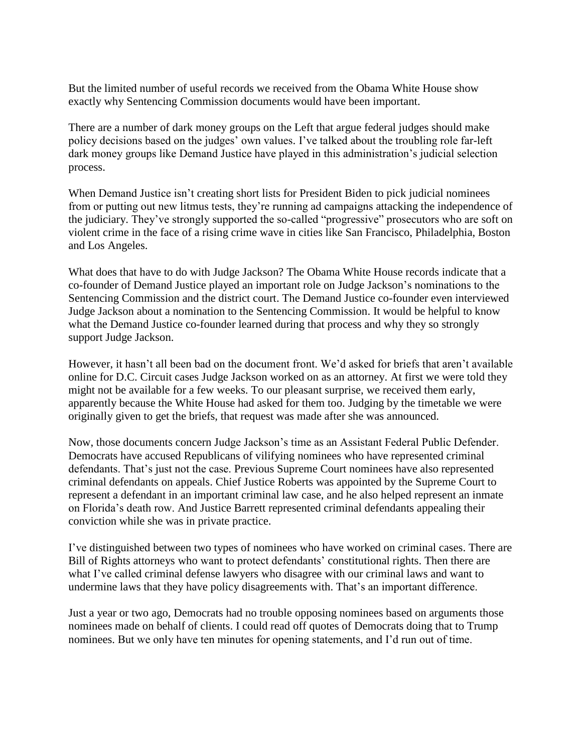But the limited number of useful records we received from the Obama White House show exactly why Sentencing Commission documents would have been important.

There are a number of dark money groups on the Left that argue federal judges should make policy decisions based on the judges' own values. I've talked about the troubling role far-left dark money groups like Demand Justice have played in this administration's judicial selection process.

When Demand Justice isn't creating short lists for President Biden to pick judicial nominees from or putting out new litmus tests, they're running ad campaigns attacking the independence of the judiciary. They've strongly supported the so-called "progressive" prosecutors who are soft on violent crime in the face of a rising crime wave in cities like San Francisco, Philadelphia, Boston and Los Angeles.

What does that have to do with Judge Jackson? The Obama White House records indicate that a co-founder of Demand Justice played an important role on Judge Jackson's nominations to the Sentencing Commission and the district court. The Demand Justice co-founder even interviewed Judge Jackson about a nomination to the Sentencing Commission. It would be helpful to know what the Demand Justice co-founder learned during that process and why they so strongly support Judge Jackson.

However, it hasn't all been bad on the document front. We'd asked for briefs that aren't available online for D.C. Circuit cases Judge Jackson worked on as an attorney. At first we were told they might not be available for a few weeks. To our pleasant surprise, we received them early, apparently because the White House had asked for them too. Judging by the timetable we were originally given to get the briefs, that request was made after she was announced.

Now, those documents concern Judge Jackson's time as an Assistant Federal Public Defender. Democrats have accused Republicans of vilifying nominees who have represented criminal defendants. That's just not the case. Previous Supreme Court nominees have also represented criminal defendants on appeals. Chief Justice Roberts was appointed by the Supreme Court to represent a defendant in an important criminal law case, and he also helped represent an inmate on Florida's death row. And Justice Barrett represented criminal defendants appealing their conviction while she was in private practice.

I've distinguished between two types of nominees who have worked on criminal cases. There are Bill of Rights attorneys who want to protect defendants' constitutional rights. Then there are what I've called criminal defense lawyers who disagree with our criminal laws and want to undermine laws that they have policy disagreements with. That's an important difference.

Just a year or two ago, Democrats had no trouble opposing nominees based on arguments those nominees made on behalf of clients. I could read off quotes of Democrats doing that to Trump nominees. But we only have ten minutes for opening statements, and I'd run out of time.